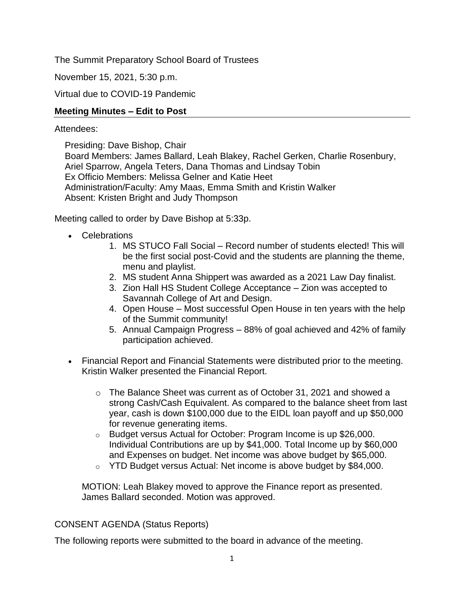The Summit Preparatory School Board of Trustees

November 15, 2021, 5:30 p.m.

Virtual due to COVID-19 Pandemic

# **Meeting Minutes – Edit to Post**

### Attendees:

Presiding: Dave Bishop, Chair Board Members: James Ballard, Leah Blakey, Rachel Gerken, Charlie Rosenbury, Ariel Sparrow, Angela Teters, Dana Thomas and Lindsay Tobin Ex Officio Members: Melissa Gelner and Katie Heet Administration/Faculty: Amy Maas, Emma Smith and Kristin Walker Absent: Kristen Bright and Judy Thompson

Meeting called to order by Dave Bishop at 5:33p.

- Celebrations
	- 1. MS STUCO Fall Social Record number of students elected! This will be the first social post-Covid and the students are planning the theme, menu and playlist.
	- 2. MS student Anna Shippert was awarded as a 2021 Law Day finalist.
	- 3. Zion Hall HS Student College Acceptance Zion was accepted to Savannah College of Art and Design.
	- 4. Open House Most successful Open House in ten years with the help of the Summit community!
	- 5. Annual Campaign Progress 88% of goal achieved and 42% of family participation achieved.
- Financial Report and Financial Statements were distributed prior to the meeting. Kristin Walker presented the Financial Report.
	- o The Balance Sheet was current as of October 31, 2021 and showed a strong Cash/Cash Equivalent. As compared to the balance sheet from last year, cash is down \$100,000 due to the EIDL loan payoff and up \$50,000 for revenue generating items.
	- o Budget versus Actual for October: Program Income is up \$26,000. Individual Contributions are up by \$41,000. Total Income up by \$60,000 and Expenses on budget. Net income was above budget by \$65,000.
	- o YTD Budget versus Actual: Net income is above budget by \$84,000.

MOTION: Leah Blakey moved to approve the Finance report as presented. James Ballard seconded. Motion was approved.

#### CONSENT AGENDA (Status Reports)

The following reports were submitted to the board in advance of the meeting.